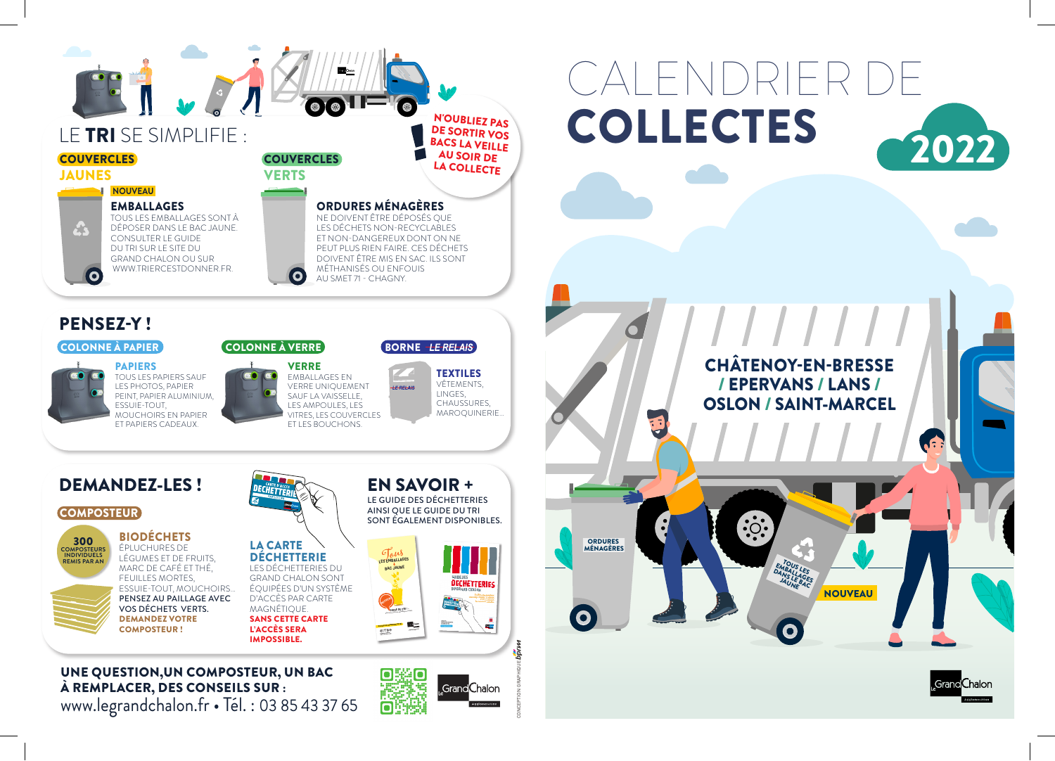